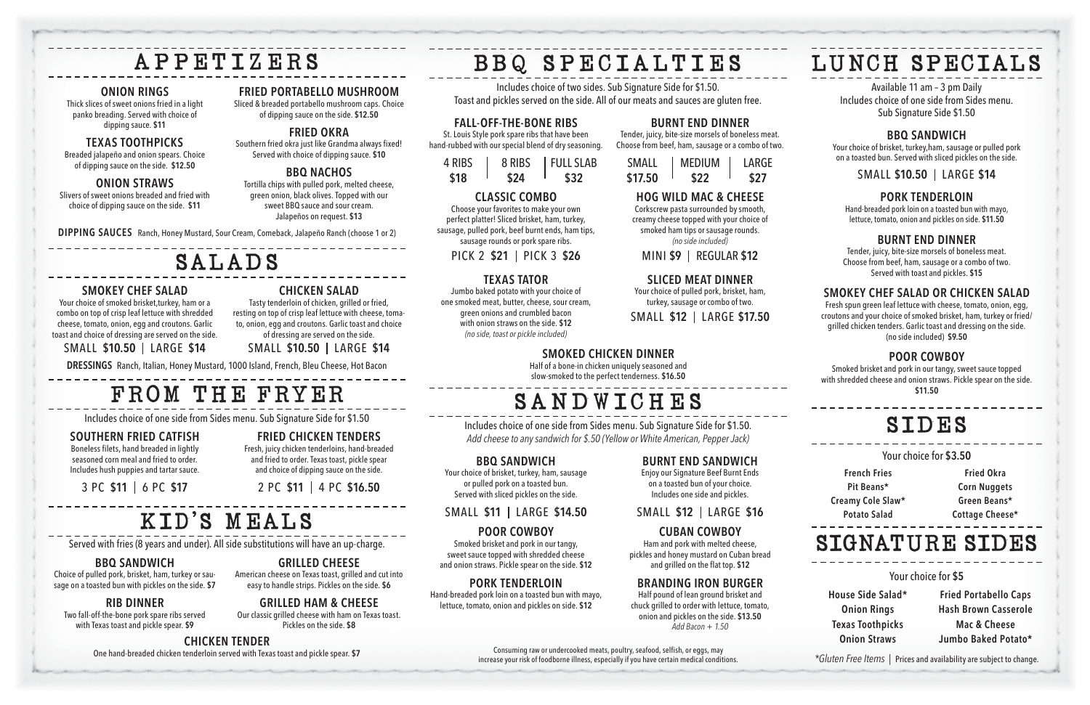# LUNCH SPECIALS

Available 11 am – 3 pm Daily Includes choice of one side from Sides menu. Sub Signature Side \$1.50

#### **BBQ SANDWICH**

Your choice of brisket, turkey,ham, sausage or pulled pork on a toasted bun. Served with sliced pickles on the side.

SMALL **\$10.50** LARGE **\$14**

#### **PORK TENDERLOIN**

Hand-breaded pork loin on a toasted bun with mayo, lettuce, tomato, onion and pickles on side. **\$11.50**

#### **BURNT END DINNER**

Tender, juicy, bite-size morsels of boneless meat. Choose from beef, ham, sausage or a combo of two. Served with toast and pickles. **\$15**

#### **SMOKEY CHEF SALAD OR CHICKEN SALAD**

Fresh spun green leaf lettuce with cheese, tomato, onion, egg, croutons and your choice of smoked brisket, ham, turkey or fried/ grilled chicken tenders. Garlic toast and dressing on the side. (no side included) **\$9.50**

#### **POOR COWBOY**

Smoked brisket and pork in our tangy, sweet sauce topped with shredded cheese and onion straws. Pickle spear on the side. **\$11.50**

### SIDES

Your choice for **\$3.50**

**French Fries Pit Beans\* Creamy Cole Slaw\* Potato Salad**

**Fried Okra Corn Nuggets Green Beans\* Cottage Cheese\***

### SIGNATURE SIDES

Your choice for **\$5**

**House Side Salad\* Onion Rings Texas Toothpicks Onion Straws**

**Fried Portabello Caps Hash Brown Casserole Mac & Cheese Jumbo Baked Potato\***

### APPETIZERS

#### **ONION RINGS**

Thick slices of sweet onions fried in a light panko breading. Served with choice of dipping sauce. **\$11**

#### **TEXAS TOOTHPICKS**

Breaded jalapeño and onion spears. Choice of dipping sauce on the side. **\$12.50** 

#### **ONION STRAWS**

Slivers of sweet onions breaded and fried with choice of dipping sauce on the side. **\$11**

#### **FRIED PORTABELLO MUSHROOM**

Sliced & breaded portabello mushroom caps. Choice of dipping sauce on the side. **\$12.50**

#### **FRIED OKRA**

Southern fried okra just like Grandma always fixed! Served with choice of dipping sauce. **\$10**

#### **BBQ NACHOS**

Tortilla chips with pulled pork, melted cheese, green onion, black olives. Topped with our sweet BBQ sauce and sour cream. Jalapeños on request. **\$13**

**DIPPING SAUCES** Ranch, Honey Mustard, Sour Cream, Comeback, Jalapeño Ranch (choose 1 or 2)

### SALADS

#### **SMOKEY CHEF SALAD**

Your choice of smoked brisket,turkey, ham or a combo on top of crisp leaf lettuce with shredded cheese, tomato, onion, egg and croutons. Garlic toast and choice of dressing are served on the side.

#### SMALL **\$10.50** LARGE **\$14**

**CHICKEN SALAD** Tasty tenderloin of chicken, grilled or fried, resting on top of crisp leaf lettuce with cheese, tomato, onion, egg and croutons. Garlic toast and choice of dressing are served on the side.

SMALL **\$10.50** LARGE **\$14**

**DRESSINGS** Ranch, Italian, Honey Mustard, 1000 Island, French, Bleu Cheese, Hot Bacon

## FROM THE FRYER

Includes choice of one side from Sides menu. Sub Signature Side for \$1.50

#### **SOUTHERN FRIED CATFISH**

Boneless filets, hand breaded in lightly seasoned corn meal and fried to order. Includes hush puppies and tartar sauce.

3 PC **\$11** 6 PC **\$17**

#### **FRIED CHICKEN TENDERS**

Fresh, juicy chicken tenderloins, hand-breaded and fried to order. Texas toast, pickle spear and choice of dipping sauce on the side.

2 PC **\$11** 4 PC **\$16.50**

### KID'S MEALS

Served with fries (8 years and under). All side substitutions will have an up-charge.

#### **BBQ SANDWICH**

Choice of pulled pork, brisket, ham, turkey or sausage on a toasted bun with pickles on the side. **\$7**

#### **RIB DINNER**

Two fall-off-the-bone pork spare ribs served with Texas toast and pickle spear. **\$9**

#### **GRILLED CHEESE**

American cheese on Texas toast, grilled and cut into easy to handle strips. Pickles on the side. **\$6**

#### **GRILLED HAM & CHEESE**

Our classic grilled cheese with ham on Texas toast. Pickles on the side. **\$8**

**CHICKEN TENDER** One hand-breaded chicken tenderloin served with Texas toast and pickle spear. **\$7** BBQ SPECIALTIES

Includes choice of two sides. Sub Signature Side for \$1.50. Toast and pickles served on the side. All of our meats and sauces are gluten free.

## **SANDWICHES**

**FALL-OFF-THE-BONE RIBS** St. Louis Style pork spare ribs that have been hand-rubbed with our special blend of dry seasoning.

4 RIBS **\$18**

8 RIBS **\$24**

FULL SLAB **\$32**

**CLASSIC COMBO**

### Choose your favorites to make your own

perfect platter! Sliced brisket, ham, turkey, sausage, pulled pork, beef burnt ends, ham tips, sausage rounds or pork spare ribs.

PICK 2 **\$21** PICK 3 **\$26**

#### **TEXAS TATOR**

Jumbo baked potato with your choice of one smoked meat, butter, cheese, sour cream, green onions and crumbled bacon with onion straws on the side. **\$12** *(no side, toast or pickle included)*

#### **BURNT END DINNER**

Tender, juicy, bite-size morsels of boneless meat. Choose from beef, ham, sausage or a combo of two.

| SMALL   | <b>MEDIUM</b> | LARGE |
|---------|---------------|-------|
| \$17.50 | \$22          | \$27  |

#### **HOG WILD MAC & CHEESE**

Corkscrew pasta surrounded by smooth, creamy cheese topped with your choice of smoked ham tips or sausage rounds. *(no side included)*

MINI **\$9** REGULAR **\$12**

#### **SLICED MEAT DINNER**

Your choice of pulled pork, brisket, ham, turkey, sausage or combo of two.

SMALL **\$12** LARGE **\$17.50**

Includes choice of one side from Sides menu. Sub Signature Side for \$1.50. *Add cheese to any sandwich for \$.50 (Yellow or White American, Pepper Jack)*

#### **BBQ SANDWICH**

Your choice of brisket, turkey, ham, sausage or pulled pork on a toasted bun. Served with sliced pickles on the side.

SMALL **\$11** LARGE **\$14.50**

#### **POOR COWBOY**

Smoked brisket and pork in our tangy, sweet sauce topped with shredded cheese and onion straws. Pickle spear on the side. **\$12**

#### **PORK TENDERLOIN**

Hand-breaded pork loin on a toasted bun with mayo, lettuce, tomato, onion and pickles on side. **\$12**

**BURNT END SANDWICH**

Enjoy our Signature Beef Burnt Ends on a toasted bun of your choice. Includes one side and pickles.

SMALL **\$12** LARGE **\$16**

#### **CUBAN COWBOY**

Ham and pork with melted cheese, pickles and honey mustard on Cuban bread and grilled on the flat top. **\$12**

#### **BRANDING IRON BURGER**

Half pound of lean ground brisket and chuck grilled to order with lettuce, tomato, onion and pickles on the side. **\$13.50** *Add Bacon + 1.50*

Consuming raw or undercooked meats, poultry, seafood, selfish, or eggs, may increase your risk of foodborne illness, especially if you have certain medical conditions. *\*Gluten Free Items |* Prices and availability are subject to change.

### **SMOKED CHICKEN DINNER** Half of a bone-in chicken uniquely seasoned and

slow-smoked to the perfect tenderness. **\$16.50**